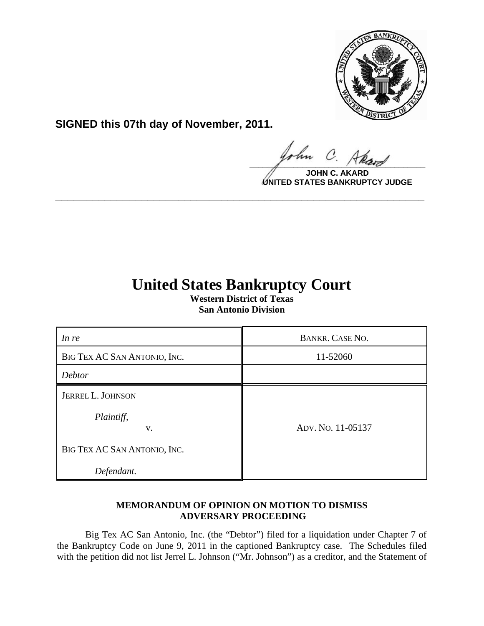

**SIGNED this 07th day of November, 2011.**

hn  $\Omega$  $\frac{1}{\sqrt{1-\frac{1}{2}}\sqrt{1-\frac{1}{2}}\sqrt{1-\frac{1}{2}}\sqrt{1-\frac{1}{2}}\sqrt{1-\frac{1}{2}}\sqrt{1-\frac{1}{2}}\sqrt{1-\frac{1}{2}}\sqrt{1-\frac{1}{2}}\sqrt{1-\frac{1}{2}}\sqrt{1-\frac{1}{2}}\sqrt{1-\frac{1}{2}}\sqrt{1-\frac{1}{2}}\sqrt{1-\frac{1}{2}}\sqrt{1-\frac{1}{2}}\sqrt{1-\frac{1}{2}}\sqrt{1-\frac{1}{2}}\sqrt{1-\frac{1}{2}}\sqrt{1-\frac{1}{2}}\sqrt{1-\frac{1}{2}}\sqrt{1-\frac$ 

**JOHN C UNITED STATES BANKRUPTCY JUDGE**

## **United States Bankruptcy Court**

**\_\_\_\_\_\_\_\_\_\_\_\_\_\_\_\_\_\_\_\_\_\_\_\_\_\_\_\_\_\_\_\_\_\_\_\_\_\_\_\_\_\_\_\_\_\_\_\_\_\_\_\_\_\_\_\_\_\_\_\_**

**Western District of Texas San Antonio Division**

| In re                        | <b>BANKR. CASE NO.</b> |
|------------------------------|------------------------|
| BIG TEX AC SAN ANTONIO, INC. | 11-52060               |
| Debtor                       |                        |
| JERREL L. JOHNSON            |                        |
| Plaintiff,<br>V.             | ADV. No. 11-05137      |
| BIG TEX AC SAN ANTONIO, INC. |                        |
| Defendant.                   |                        |

## **MEMORANDUM OF OPINION ON MOTION TO DISMISS ADVERSARY PROCEEDING**

Big Tex AC San Antonio, Inc. (the "Debtor") filed for a liquidation under Chapter 7 of the Bankruptcy Code on June 9, 2011 in the captioned Bankruptcy case. The Schedules filed with the petition did not list Jerrel L. Johnson ("Mr. Johnson") as a creditor, and the Statement of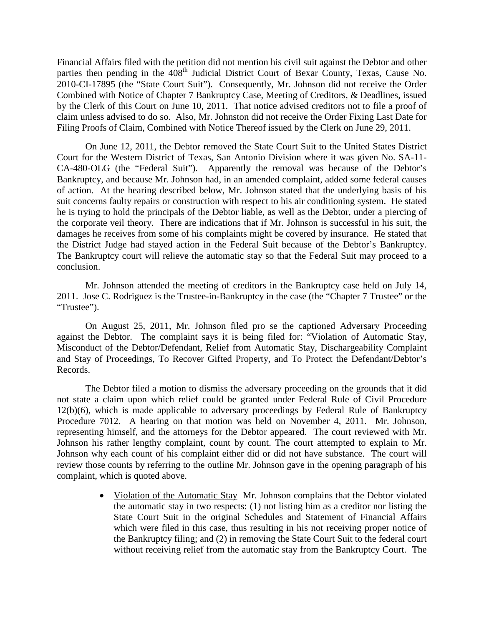Financial Affairs filed with the petition did not mention his civil suit against the Debtor and other parties then pending in the  $408<sup>th</sup>$  Judicial District Court of Bexar County, Texas, Cause No. 2010-CI-17895 (the "State Court Suit"). Consequently, Mr. Johnson did not receive the Order Combined with Notice of Chapter 7 Bankruptcy Case, Meeting of Creditors, & Deadlines, issued by the Clerk of this Court on June 10, 2011. That notice advised creditors not to file a proof of claim unless advised to do so. Also, Mr. Johnston did not receive the Order Fixing Last Date for Filing Proofs of Claim, Combined with Notice Thereof issued by the Clerk on June 29, 2011.

On June 12, 2011, the Debtor removed the State Court Suit to the United States District Court for the Western District of Texas, San Antonio Division where it was given No. SA-11- CA-480-OLG (the "Federal Suit"). Apparently the removal was because of the Debtor's Bankruptcy, and because Mr. Johnson had, in an amended complaint, added some federal causes of action. At the hearing described below, Mr. Johnson stated that the underlying basis of his suit concerns faulty repairs or construction with respect to his air conditioning system. He stated he is trying to hold the principals of the Debtor liable, as well as the Debtor, under a piercing of the corporate veil theory. There are indications that if Mr. Johnson is successful in his suit, the damages he receives from some of his complaints might be covered by insurance. He stated that the District Judge had stayed action in the Federal Suit because of the Debtor's Bankruptcy. The Bankruptcy court will relieve the automatic stay so that the Federal Suit may proceed to a conclusion.

Mr. Johnson attended the meeting of creditors in the Bankruptcy case held on July 14, 2011. Jose C. Rodriguez is the Trustee-in-Bankruptcy in the case (the "Chapter 7 Trustee" or the "Trustee").

On August 25, 2011, Mr. Johnson filed pro se the captioned Adversary Proceeding against the Debtor. The complaint says it is being filed for: "Violation of Automatic Stay, Misconduct of the Debtor/Defendant, Relief from Automatic Stay, Dischargeability Complaint and Stay of Proceedings, To Recover Gifted Property, and To Protect the Defendant/Debtor's Records.

The Debtor filed a motion to dismiss the adversary proceeding on the grounds that it did not state a claim upon which relief could be granted under Federal Rule of Civil Procedure 12(b)(6), which is made applicable to adversary proceedings by Federal Rule of Bankruptcy Procedure 7012. A hearing on that motion was held on November 4, 2011. Mr. Johnson, representing himself, and the attorneys for the Debtor appeared. The court reviewed with Mr. Johnson his rather lengthy complaint, count by count. The court attempted to explain to Mr. Johnson why each count of his complaint either did or did not have substance. The court will review those counts by referring to the outline Mr. Johnson gave in the opening paragraph of his complaint, which is quoted above.

> • Violation of the Automatic Stay Mr. Johnson complains that the Debtor violated the automatic stay in two respects: (1) not listing him as a creditor nor listing the State Court Suit in the original Schedules and Statement of Financial Affairs which were filed in this case, thus resulting in his not receiving proper notice of the Bankruptcy filing; and (2) in removing the State Court Suit to the federal court without receiving relief from the automatic stay from the Bankruptcy Court. The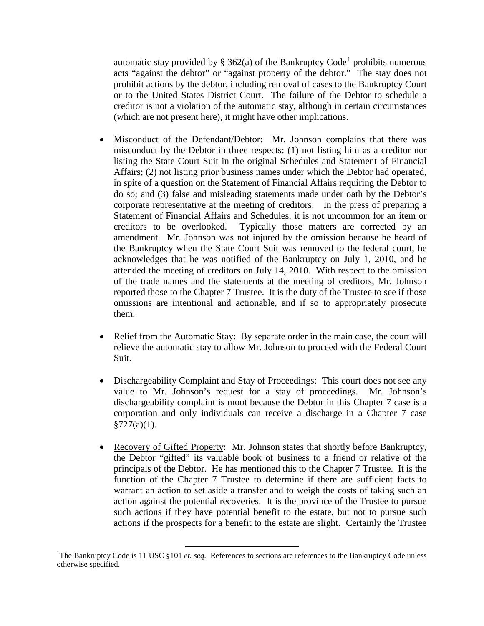automatic stay provided by § 362(a) of the Bankruptcy Code<sup>[1](#page-2-0)</sup> prohibits numerous acts "against the debtor" or "against property of the debtor." The stay does not prohibit actions by the debtor, including removal of cases to the Bankruptcy Court or to the United States District Court. The failure of the Debtor to schedule a creditor is not a violation of the automatic stay, although in certain circumstances (which are not present here), it might have other implications.

- Misconduct of the Defendant/Debtor: Mr. Johnson complains that there was misconduct by the Debtor in three respects: (1) not listing him as a creditor nor listing the State Court Suit in the original Schedules and Statement of Financial Affairs; (2) not listing prior business names under which the Debtor had operated, in spite of a question on the Statement of Financial Affairs requiring the Debtor to do so; and (3) false and misleading statements made under oath by the Debtor's corporate representative at the meeting of creditors. In the press of preparing a Statement of Financial Affairs and Schedules, it is not uncommon for an item or creditors to be overlooked. Typically those matters are corrected by an amendment. Mr. Johnson was not injured by the omission because he heard of the Bankruptcy when the State Court Suit was removed to the federal court, he acknowledges that he was notified of the Bankruptcy on July 1, 2010, and he attended the meeting of creditors on July 14, 2010. With respect to the omission of the trade names and the statements at the meeting of creditors, Mr. Johnson reported those to the Chapter 7 Trustee. It is the duty of the Trustee to see if those omissions are intentional and actionable, and if so to appropriately prosecute them.
- Relief from the Automatic Stay: By separate order in the main case, the court will relieve the automatic stay to allow Mr. Johnson to proceed with the Federal Court Suit.
- Dischargeability Complaint and Stay of Proceedings: This court does not see any value to Mr. Johnson's request for a stay of proceedings. Mr. Johnson's dischargeability complaint is moot because the Debtor in this Chapter 7 case is a corporation and only individuals can receive a discharge in a Chapter 7 case  $§727(a)(1)$ .
- Recovery of Gifted Property: Mr. Johnson states that shortly before Bankruptcy, the Debtor "gifted" its valuable book of business to a friend or relative of the principals of the Debtor. He has mentioned this to the Chapter 7 Trustee. It is the function of the Chapter 7 Trustee to determine if there are sufficient facts to warrant an action to set aside a transfer and to weigh the costs of taking such an action against the potential recoveries. It is the province of the Trustee to pursue such actions if they have potential benefit to the estate, but not to pursue such actions if the prospects for a benefit to the estate are slight. Certainly the Trustee

<span id="page-2-0"></span><sup>&</sup>lt;sup>1</sup>The Bankruptcy Code is 11 USC §101 *et. seq.* References to sections are references to the Bankruptcy Code unless otherwise specified.